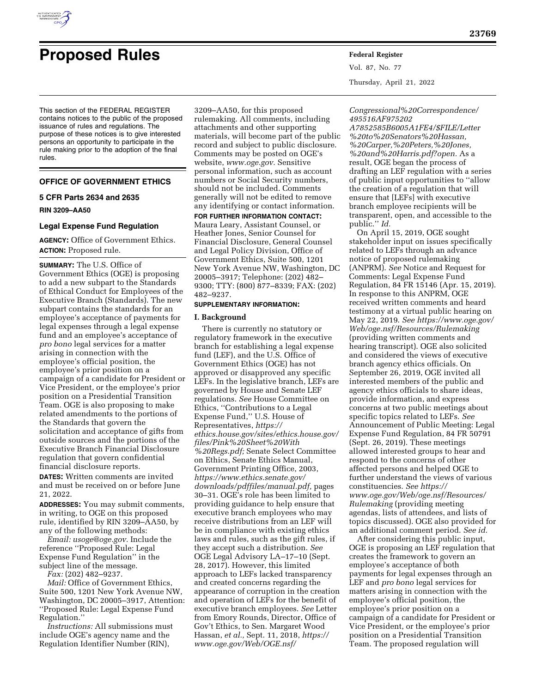

# **Proposed Rules Federal Register**

This section of the FEDERAL REGISTER contains notices to the public of the proposed issuance of rules and regulations. The purpose of these notices is to give interested persons an opportunity to participate in the rule making prior to the adoption of the final rules.

# **OFFICE OF GOVERNMENT ETHICS**

# **5 CFR Parts 2634 and 2635**

**RIN 3209–AA50** 

### **Legal Expense Fund Regulation**

**AGENCY:** Office of Government Ethics. **ACTION:** Proposed rule.

**SUMMARY:** The U.S. Office of Government Ethics (OGE) is proposing to add a new subpart to the Standards of Ethical Conduct for Employees of the Executive Branch (Standards). The new subpart contains the standards for an employee's acceptance of payments for legal expenses through a legal expense fund and an employee's acceptance of *pro bono* legal services for a matter arising in connection with the employee's official position, the employee's prior position on a campaign of a candidate for President or Vice President, or the employee's prior position on a Presidential Transition Team. OGE is also proposing to make related amendments to the portions of the Standards that govern the solicitation and acceptance of gifts from outside sources and the portions of the Executive Branch Financial Disclosure regulation that govern confidential financial disclosure reports.

**DATES:** Written comments are invited and must be received on or before June 21, 2022.

**ADDRESSES:** You may submit comments, in writing, to OGE on this proposed rule, identified by RIN 3209–AA50, by any of the following methods:

*Email: [usoge@oge.gov.](mailto:usoge@oge.gov)* Include the reference ''Proposed Rule: Legal Expense Fund Regulation'' in the subject line of the message.

*Fax:* (202) 482–9237.

*Mail:* Office of Government Ethics, Suite 500, 1201 New York Avenue NW, Washington, DC 20005–3917, Attention: ''Proposed Rule: Legal Expense Fund Regulation.''

*Instructions:* All submissions must include OGE's agency name and the Regulation Identifier Number (RIN),

3209–AA50, for this proposed rulemaking. All comments, including attachments and other supporting materials, will become part of the public record and subject to public disclosure. Comments may be posted on OGE's website, *[www.oge.gov.](http://www.oge.gov)* Sensitive personal information, such as account numbers or Social Security numbers, should not be included. Comments generally will not be edited to remove any identifying or contact information.

**FOR FURTHER INFORMATION CONTACT:**  Maura Leary, Assistant Counsel, or Heather Jones, Senior Counsel for Financial Disclosure, General Counsel and Legal Policy Division, Office of Government Ethics, Suite 500, 1201 New York Avenue NW, Washington, DC 20005–3917; Telephone: (202) 482– 9300; TTY: (800) 877–8339; FAX: (202) 482–9237.

# **SUPPLEMENTARY INFORMATION:**

#### **I. Background**

There is currently no statutory or regulatory framework in the executive branch for establishing a legal expense fund (LEF), and the U.S. Office of Government Ethics (OGE) has not approved or disapproved any specific LEFs. In the legislative branch, LEFs are governed by House and Senate LEF regulations. *See* House Committee on Ethics, ''Contributions to a Legal Expense Fund,'' U.S. House of Representatives, *[https://](https://ethics.house.gov/sites/ethics.house.gov/files/Pink%20Sheet%20With%20Regs.pdf) [ethics.house.gov/sites/ethics.house.gov/](https://ethics.house.gov/sites/ethics.house.gov/files/Pink%20Sheet%20With%20Regs.pdf) [files/Pink%20Sheet%20With](https://ethics.house.gov/sites/ethics.house.gov/files/Pink%20Sheet%20With%20Regs.pdf) [%20Regs.pdf;](https://ethics.house.gov/sites/ethics.house.gov/files/Pink%20Sheet%20With%20Regs.pdf)* Senate Select Committee on Ethics, Senate Ethics Manual, Government Printing Office, 2003, *[https://www.ethics.senate.gov/](https://www.ethics.senate.gov/downloads/pdffiles/manual.pdf) [downloads/pdffiles/manual.pdf,](https://www.ethics.senate.gov/downloads/pdffiles/manual.pdf)* pages 30–31. OGE's role has been limited to providing guidance to help ensure that executive branch employees who may receive distributions from an LEF will be in compliance with existing ethics laws and rules, such as the gift rules, if they accept such a distribution. *See*  OGE Legal Advisory LA–17–10 (Sept. 28, 2017). However, this limited approach to LEFs lacked transparency and created concerns regarding the appearance of corruption in the creation and operation of LEFs for the benefit of executive branch employees. *See* Letter from Emory Rounds, Director, Office of Gov't Ethics, to Sen. Margaret Wood Hassan, *et al.,* Sept. 11, 2018, *[https://](https://www.oge.gov/Web/OGE.nsf/Congressional%20Correspondence/495516AF975202A7852585B6005A1FE4/$FILE/Letter%20to%20Senators%20Hassan,%20Carper,%20Peters,%20Jones,%20and%20Harris.pdf?open) [www.oge.gov/Web/OGE.nsf/](https://www.oge.gov/Web/OGE.nsf/Congressional%20Correspondence/495516AF975202A7852585B6005A1FE4/$FILE/Letter%20to%20Senators%20Hassan,%20Carper,%20Peters,%20Jones,%20and%20Harris.pdf?open)*

Vol. 87, No. 77 Thursday, April 21, 2022

*[Congressional%20Correspondence/](https://www.oge.gov/Web/OGE.nsf/Congressional%20Correspondence/495516AF975202A7852585B6005A1FE4/$FILE/Letter%20to%20Senators%20Hassan,%20Carper,%20Peters,%20Jones,%20and%20Harris.pdf?open) [495516AF975202](https://www.oge.gov/Web/OGE.nsf/Congressional%20Correspondence/495516AF975202A7852585B6005A1FE4/$FILE/Letter%20to%20Senators%20Hassan,%20Carper,%20Peters,%20Jones,%20and%20Harris.pdf?open)*

*[A7852585B6005A1FE4/\\$FILE/Letter](https://www.oge.gov/Web/OGE.nsf/Congressional%20Correspondence/495516AF975202A7852585B6005A1FE4/$FILE/Letter%20to%20Senators%20Hassan,%20Carper,%20Peters,%20Jones,%20and%20Harris.pdf?open) [%20to%20Senators%20Hassan,](https://www.oge.gov/Web/OGE.nsf/Congressional%20Correspondence/495516AF975202A7852585B6005A1FE4/$FILE/Letter%20to%20Senators%20Hassan,%20Carper,%20Peters,%20Jones,%20and%20Harris.pdf?open) [%20Carper,%20Peters,%20Jones,](https://www.oge.gov/Web/OGE.nsf/Congressional%20Correspondence/495516AF975202A7852585B6005A1FE4/$FILE/Letter%20to%20Senators%20Hassan,%20Carper,%20Peters,%20Jones,%20and%20Harris.pdf?open) [%20and%20Harris.pdf?open.](https://www.oge.gov/Web/OGE.nsf/Congressional%20Correspondence/495516AF975202A7852585B6005A1FE4/$FILE/Letter%20to%20Senators%20Hassan,%20Carper,%20Peters,%20Jones,%20and%20Harris.pdf?open)* As a result, OGE began the process of drafting an LEF regulation with a series of public input opportunities to ''allow the creation of a regulation that will ensure that [LEFs] with executive branch employee recipients will be transparent, open, and accessible to the public.'' *Id.* 

On April 15, 2019, OGE sought stakeholder input on issues specifically related to LEFs through an advance notice of proposed rulemaking (ANPRM). *See* Notice and Request for Comments: Legal Expense Fund Regulation, 84 FR 15146 (Apr. 15, 2019). In response to this ANPRM, OGE received written comments and heard testimony at a virtual public hearing on May 22, 2019. *See [https://www.oge.gov/](https://www.oge.gov/Web/oge.nsf/Resources/Rulemaking) [Web/oge.nsf/Resources/Rulemaking](https://www.oge.gov/Web/oge.nsf/Resources/Rulemaking)*  (providing written comments and hearing transcript). OGE also solicited and considered the views of executive branch agency ethics officials. On September 26, 2019, OGE invited all interested members of the public and agency ethics officials to share ideas, provide information, and express concerns at two public meetings about specific topics related to LEFs. *See*  Announcement of Public Meeting: Legal Expense Fund Regulation, 84 FR 50791 (Sept. 26, 2019). These meetings allowed interested groups to hear and respond to the concerns of other affected persons and helped OGE to further understand the views of various constituencies. *See [https://](https://www.oge.gov/Web/oge.nsf/Resources/Rulemaking) [www.oge.gov/Web/oge.nsf/Resources/](https://www.oge.gov/Web/oge.nsf/Resources/Rulemaking) [Rulemaking](https://www.oge.gov/Web/oge.nsf/Resources/Rulemaking)* (providing meeting agendas, lists of attendees, and lists of topics discussed). OGE also provided for an additional comment period. *See id.* 

After considering this public input, OGE is proposing an LEF regulation that creates the framework to govern an employee's acceptance of both payments for legal expenses through an LEF and *pro bono* legal services for matters arising in connection with the employee's official position, the employee's prior position on a campaign of a candidate for President or Vice President, or the employee's prior position on a Presidential Transition Team. The proposed regulation will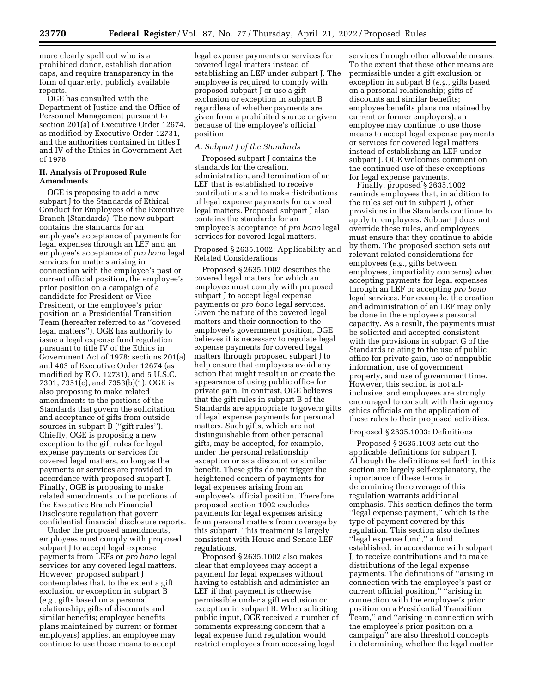more clearly spell out who is a prohibited donor, establish donation caps, and require transparency in the form of quarterly, publicly available reports.

OGE has consulted with the Department of Justice and the Office of Personnel Management pursuant to section 201(a) of Executive Order 12674, as modified by Executive Order 12731, and the authorities contained in titles I and IV of the Ethics in Government Act of 1978.

# **II. Analysis of Proposed Rule Amendments**

OGE is proposing to add a new subpart J to the Standards of Ethical Conduct for Employees of the Executive Branch (Standards). The new subpart contains the standards for an employee's acceptance of payments for legal expenses through an LEF and an employee's acceptance of *pro bono* legal services for matters arising in connection with the employee's past or current official position, the employee's prior position on a campaign of a candidate for President or Vice President, or the employee's prior position on a Presidential Transition Team (hereafter referred to as ''covered legal matters''). OGE has authority to issue a legal expense fund regulation pursuant to title IV of the Ethics in Government Act of 1978; sections 201(a) and 403 of Executive Order 12674 (as modified by E.O. 12731), and 5 U.S.C. 7301, 7351(c), and 7353(b)(1). OGE is also proposing to make related amendments to the portions of the Standards that govern the solicitation and acceptance of gifts from outside sources in subpart B (''gift rules''). Chiefly, OGE is proposing a new exception to the gift rules for legal expense payments or services for covered legal matters, so long as the payments or services are provided in accordance with proposed subpart J. Finally, OGE is proposing to make related amendments to the portions of the Executive Branch Financial Disclosure regulation that govern confidential financial disclosure reports.

Under the proposed amendments, employees must comply with proposed subpart J to accept legal expense payments from LEFs or *pro bono* legal services for any covered legal matters. However, proposed subpart J contemplates that, to the extent a gift exclusion or exception in subpart B (*e.g.,* gifts based on a personal relationship; gifts of discounts and similar benefits; employee benefits plans maintained by current or former employers) applies, an employee may continue to use those means to accept

legal expense payments or services for covered legal matters instead of establishing an LEF under subpart J. The employee is required to comply with proposed subpart J or use a gift exclusion or exception in subpart B regardless of whether payments are given from a prohibited source or given because of the employee's official position.

#### *A. Subpart J of the Standards*

Proposed subpart J contains the standards for the creation, administration, and termination of an LEF that is established to receive contributions and to make distributions of legal expense payments for covered legal matters. Proposed subpart J also contains the standards for an employee's acceptance of *pro bono* legal services for covered legal matters.

# Proposed § 2635.1002: Applicability and Related Considerations

Proposed § 2635.1002 describes the covered legal matters for which an employee must comply with proposed subpart J to accept legal expense payments or *pro bono* legal services. Given the nature of the covered legal matters and their connection to the employee's government position, OGE believes it is necessary to regulate legal expense payments for covered legal matters through proposed subpart J to help ensure that employees avoid any action that might result in or create the appearance of using public office for private gain. In contrast, OGE believes that the gift rules in subpart B of the Standards are appropriate to govern gifts of legal expense payments for personal matters. Such gifts, which are not distinguishable from other personal gifts, may be accepted, for example, under the personal relationship exception or as a discount or similar benefit. These gifts do not trigger the heightened concern of payments for legal expenses arising from an employee's official position. Therefore, proposed section 1002 excludes payments for legal expenses arising from personal matters from coverage by this subpart. This treatment is largely consistent with House and Senate LEF regulations.

Proposed § 2635.1002 also makes clear that employees may accept a payment for legal expenses without having to establish and administer an LEF if that payment is otherwise permissible under a gift exclusion or exception in subpart B. When soliciting public input, OGE received a number of comments expressing concern that a legal expense fund regulation would restrict employees from accessing legal

services through other allowable means. To the extent that these other means are permissible under a gift exclusion or exception in subpart B (*e.g.,* gifts based on a personal relationship; gifts of discounts and similar benefits; employee benefits plans maintained by current or former employers), an employee may continue to use those means to accept legal expense payments or services for covered legal matters instead of establishing an LEF under subpart J. OGE welcomes comment on the continued use of these exceptions for legal expense payments.

Finally, proposed § 2635.1002 reminds employees that, in addition to the rules set out in subpart J, other provisions in the Standards continue to apply to employees. Subpart J does not override these rules, and employees must ensure that they continue to abide by them. The proposed section sets out relevant related considerations for employees (*e.g.,* gifts between employees, impartiality concerns) when accepting payments for legal expenses through an LEF or accepting *pro bono*  legal services. For example, the creation and administration of an LEF may only be done in the employee's personal capacity. As a result, the payments must be solicited and accepted consistent with the provisions in subpart G of the Standards relating to the use of public office for private gain, use of nonpublic information, use of government property, and use of government time. However, this section is not allinclusive, and employees are strongly encouraged to consult with their agency ethics officials on the application of these rules to their proposed activities.

# Proposed § 2635.1003: Definitions

Proposed § 2635.1003 sets out the applicable definitions for subpart J. Although the definitions set forth in this section are largely self-explanatory, the importance of these terms in determining the coverage of this regulation warrants additional emphasis. This section defines the term ''legal expense payment,'' which is the type of payment covered by this regulation. This section also defines ''legal expense fund,'' a fund established, in accordance with subpart J, to receive contributions and to make distributions of the legal expense payments. The definitions of ''arising in connection with the employee's past or current official position,'' ''arising in connection with the employee's prior position on a Presidential Transition Team,'' and ''arising in connection with the employee's prior position on a campaign'' are also threshold concepts in determining whether the legal matter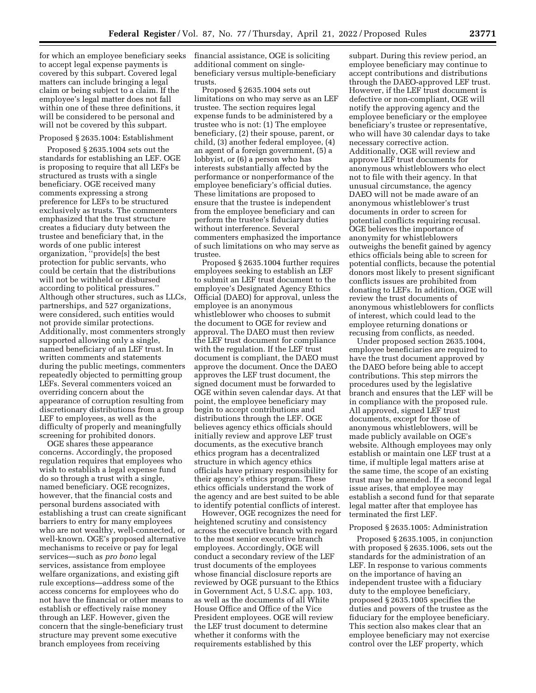for which an employee beneficiary seeks to accept legal expense payments is covered by this subpart. Covered legal matters can include bringing a legal claim or being subject to a claim. If the employee's legal matter does not fall within one of these three definitions, it will be considered to be personal and will not be covered by this subpart.

# Proposed § 2635.1004: Establishment

Proposed § 2635.1004 sets out the standards for establishing an LEF. OGE is proposing to require that all LEFs be structured as trusts with a single beneficiary. OGE received many comments expressing a strong preference for LEFs to be structured exclusively as trusts. The commenters emphasized that the trust structure creates a fiduciary duty between the trustee and beneficiary that, in the words of one public interest organization, ''provide[s] the best protection for public servants, who could be certain that the distributions will not be withheld or disbursed according to political pressures.'' Although other structures, such as LLCs, partnerships, and 527 organizations, were considered, such entities would not provide similar protections. Additionally, most commenters strongly supported allowing only a single, named beneficiary of an LEF trust. In written comments and statements during the public meetings, commenters repeatedly objected to permitting group LEFs. Several commenters voiced an overriding concern about the appearance of corruption resulting from discretionary distributions from a group LEF to employees, as well as the difficulty of properly and meaningfully screening for prohibited donors.

OGE shares these appearance concerns. Accordingly, the proposed regulation requires that employees who wish to establish a legal expense fund do so through a trust with a single, named beneficiary. OGE recognizes, however, that the financial costs and personal burdens associated with establishing a trust can create significant barriers to entry for many employees who are not wealthy, well-connected, or well-known. OGE's proposed alternative mechanisms to receive or pay for legal services—such as *pro bono* legal services, assistance from employee welfare organizations, and existing gift rule exceptions—address some of the access concerns for employees who do not have the financial or other means to establish or effectively raise money through an LEF. However, given the concern that the single-beneficiary trust structure may prevent some executive branch employees from receiving

financial assistance, OGE is soliciting additional comment on singlebeneficiary versus multiple-beneficiary trusts.

Proposed § 2635.1004 sets out limitations on who may serve as an LEF trustee. The section requires legal expense funds to be administered by a trustee who is not: (1) The employee beneficiary, (2) their spouse, parent, or child, (3) another federal employee, (4) an agent of a foreign government, (5) a lobbyist, or (6) a person who has interests substantially affected by the performance or nonperformance of the employee beneficiary's official duties. These limitations are proposed to ensure that the trustee is independent from the employee beneficiary and can perform the trustee's fiduciary duties without interference. Several commenters emphasized the importance of such limitations on who may serve as trustee.

Proposed § 2635.1004 further requires employees seeking to establish an LEF to submit an LEF trust document to the employee's Designated Agency Ethics Official (DAEO) for approval, unless the employee is an anonymous whistleblower who chooses to submit the document to OGE for review and approval. The DAEO must then review the LEF trust document for compliance with the regulation. If the LEF trust document is compliant, the DAEO must approve the document. Once the DAEO approves the LEF trust document, the signed document must be forwarded to OGE within seven calendar days. At that point, the employee beneficiary may begin to accept contributions and distributions through the LEF. OGE believes agency ethics officials should initially review and approve LEF trust documents, as the executive branch ethics program has a decentralized structure in which agency ethics officials have primary responsibility for their agency's ethics program. These ethics officials understand the work of the agency and are best suited to be able to identify potential conflicts of interest.

However, OGE recognizes the need for heightened scrutiny and consistency across the executive branch with regard to the most senior executive branch employees. Accordingly, OGE will conduct a secondary review of the LEF trust documents of the employees whose financial disclosure reports are reviewed by OGE pursuant to the Ethics in Government Act, 5 U.S.C. app. 103, as well as the documents of all White House Office and Office of the Vice President employees. OGE will review the LEF trust document to determine whether it conforms with the requirements established by this

subpart. During this review period, an employee beneficiary may continue to accept contributions and distributions through the DAEO-approved LEF trust. However, if the LEF trust document is defective or non-compliant, OGE will notify the approving agency and the employee beneficiary or the employee beneficiary's trustee or representative, who will have 30 calendar days to take necessary corrective action. Additionally, OGE will review and approve LEF trust documents for anonymous whistleblowers who elect not to file with their agency. In that unusual circumstance, the agency DAEO will not be made aware of an anonymous whistleblower's trust documents in order to screen for potential conflicts requiring recusal. OGE believes the importance of anonymity for whistleblowers outweighs the benefit gained by agency ethics officials being able to screen for potential conflicts, because the potential donors most likely to present significant conflicts issues are prohibited from donating to LEFs. In addition, OGE will review the trust documents of anonymous whistleblowers for conflicts of interest, which could lead to the employee returning donations or recusing from conflicts, as needed.

Under proposed section 2635.1004, employee beneficiaries are required to have the trust document approved by the DAEO before being able to accept contributions. This step mirrors the procedures used by the legislative branch and ensures that the LEF will be in compliance with the proposed rule. All approved, signed LEF trust documents, except for those of anonymous whistleblowers, will be made publicly available on OGE's website. Although employees may only establish or maintain one LEF trust at a time, if multiple legal matters arise at the same time, the scope of an existing trust may be amended. If a second legal issue arises, that employee may establish a second fund for that separate legal matter after that employee has terminated the first LEF.

# Proposed § 2635.1005: Administration

Proposed § 2635.1005, in conjunction with proposed § 2635.1006, sets out the standards for the administration of an LEF. In response to various comments on the importance of having an independent trustee with a fiduciary duty to the employee beneficiary, proposed § 2635.1005 specifies the duties and powers of the trustee as the fiduciary for the employee beneficiary. This section also makes clear that an employee beneficiary may not exercise control over the LEF property, which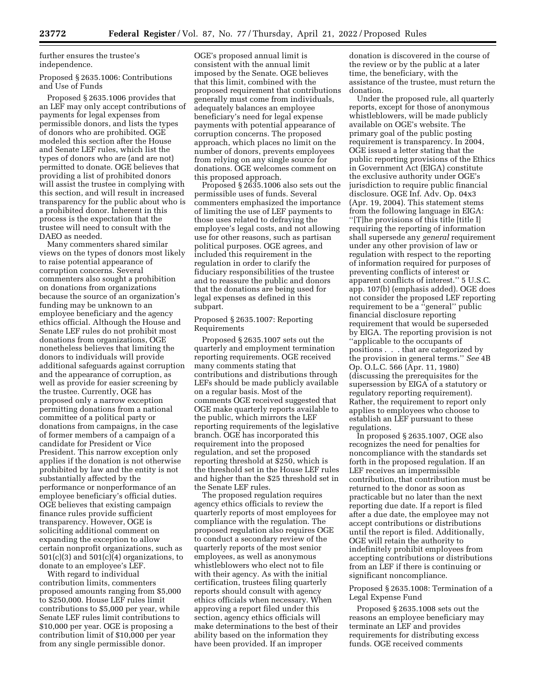further ensures the trustee's independence.

# Proposed § 2635.1006: Contributions and Use of Funds

Proposed § 2635.1006 provides that an LEF may only accept contributions of payments for legal expenses from permissible donors, and lists the types of donors who are prohibited. OGE modeled this section after the House and Senate LEF rules, which list the types of donors who are (and are not) permitted to donate. OGE believes that providing a list of prohibited donors will assist the trustee in complying with this section, and will result in increased transparency for the public about who is a prohibited donor. Inherent in this process is the expectation that the trustee will need to consult with the DAEO as needed.

Many commenters shared similar views on the types of donors most likely to raise potential appearance of corruption concerns. Several commenters also sought a prohibition on donations from organizations because the source of an organization's funding may be unknown to an employee beneficiary and the agency ethics official. Although the House and Senate LEF rules do not prohibit most donations from organizations, OGE nonetheless believes that limiting the donors to individuals will provide additional safeguards against corruption and the appearance of corruption, as well as provide for easier screening by the trustee. Currently, OGE has proposed only a narrow exception permitting donations from a national committee of a political party or donations from campaigns, in the case of former members of a campaign of a candidate for President or Vice President. This narrow exception only applies if the donation is not otherwise prohibited by law and the entity is not substantially affected by the performance or nonperformance of an employee beneficiary's official duties. OGE believes that existing campaign finance rules provide sufficient transparency. However, OGE is soliciting additional comment on expanding the exception to allow certain nonprofit organizations, such as  $501(c)(3)$  and  $501(c)(4)$  organizations, to donate to an employee's LEF.

With regard to individual contribution limits, commenters proposed amounts ranging from \$5,000 to \$250,000. House LEF rules limit contributions to \$5,000 per year, while Senate LEF rules limit contributions to \$10,000 per year. OGE is proposing a contribution limit of \$10,000 per year from any single permissible donor.

OGE's proposed annual limit is consistent with the annual limit imposed by the Senate. OGE believes that this limit, combined with the proposed requirement that contributions generally must come from individuals, adequately balances an employee beneficiary's need for legal expense payments with potential appearance of corruption concerns. The proposed approach, which places no limit on the number of donors, prevents employees from relying on any single source for donations. OGE welcomes comment on this proposed approach.

Proposed § 2635.1006 also sets out the permissible uses of funds. Several commenters emphasized the importance of limiting the use of LEF payments to those uses related to defraying the employee's legal costs, and not allowing use for other reasons, such as partisan political purposes. OGE agrees, and included this requirement in the regulation in order to clarify the fiduciary responsibilities of the trustee and to reassure the public and donors that the donations are being used for legal expenses as defined in this subpart.

# Proposed § 2635.1007: Reporting Requirements

Proposed § 2635.1007 sets out the quarterly and employment termination reporting requirements. OGE received many comments stating that contributions and distributions through LEFs should be made publicly available on a regular basis. Most of the comments OGE received suggested that OGE make quarterly reports available to the public, which mirrors the LEF reporting requirements of the legislative branch. OGE has incorporated this requirement into the proposed regulation, and set the proposed reporting threshold at \$250, which is the threshold set in the House LEF rules and higher than the \$25 threshold set in the Senate LEF rules.

The proposed regulation requires agency ethics officials to review the quarterly reports of most employees for compliance with the regulation. The proposed regulation also requires OGE to conduct a secondary review of the quarterly reports of the most senior employees, as well as anonymous whistleblowers who elect not to file with their agency. As with the initial certification, trustees filing quarterly reports should consult with agency ethics officials when necessary. When approving a report filed under this section, agency ethics officials will make determinations to the best of their ability based on the information they have been provided. If an improper

donation is discovered in the course of the review or by the public at a later time, the beneficiary, with the assistance of the trustee, must return the donation.

Under the proposed rule, all quarterly reports, except for those of anonymous whistleblowers, will be made publicly available on OGE's website. The primary goal of the public posting requirement is transparency. In 2004, OGE issued a letter stating that the public reporting provisions of the Ethics in Government Act (EIGA) constitute the exclusive authority under OGE's jurisdiction to require public financial disclosure. OGE Inf. Adv. Op. 04x3 (Apr. 19, 2004). This statement stems from the following language in EIGA: ''[T]he provisions of this title [title I] requiring the reporting of information shall supersede any *general* requirement under any other provision of law or regulation with respect to the reporting of information required for purposes of preventing conflicts of interest or apparent conflicts of interest.'' 5 U.S.C. app. 107(b) (emphasis added). OGE does not consider the proposed LEF reporting requirement to be a ''general'' public financial disclosure reporting requirement that would be superseded by EIGA. The reporting provision is not ''applicable to the occupants of positions . . . that are categorized by the provision in general terms.'' *See* 4B Op. O.L.C. 566 (Apr. 11, 1980) (discussing the prerequisites for the supersession by EIGA of a statutory or regulatory reporting requirement). Rather, the requirement to report only applies to employees who choose to establish an LEF pursuant to these regulations.

In proposed § 2635.1007, OGE also recognizes the need for penalties for noncompliance with the standards set forth in the proposed regulation. If an LEF receives an impermissible contribution, that contribution must be returned to the donor as soon as practicable but no later than the next reporting due date. If a report is filed after a due date, the employee may not accept contributions or distributions until the report is filed. Additionally, OGE will retain the authority to indefinitely prohibit employees from accepting contributions or distributions from an LEF if there is continuing or significant noncompliance.

# Proposed § 2635.1008: Termination of a Legal Expense Fund

Proposed § 2635.1008 sets out the reasons an employee beneficiary may terminate an LEF and provides requirements for distributing excess funds. OGE received comments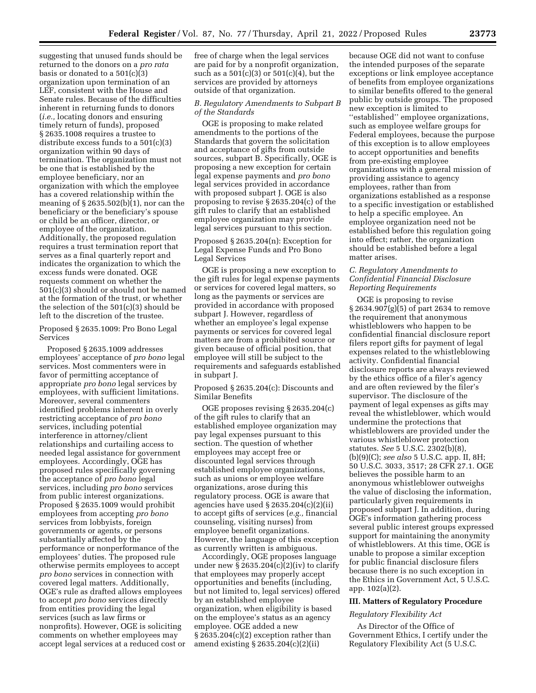suggesting that unused funds should be returned to the donors on a *pro rata*  basis or donated to a 501(c)(3) organization upon termination of an LEF, consistent with the House and Senate rules. Because of the difficulties inherent in returning funds to donors (*i.e.,* locating donors and ensuring timely return of funds), proposed § 2635.1008 requires a trustee to distribute excess funds to a 501(c)(3) organization within 90 days of termination. The organization must not be one that is established by the employee beneficiary, nor an organization with which the employee has a covered relationship within the meaning of  $\S 2635.502(b)(1)$ , nor can the beneficiary or the beneficiary's spouse or child be an officer, director, or employee of the organization. Additionally, the proposed regulation requires a trust termination report that serves as a final quarterly report and indicates the organization to which the excess funds were donated. OGE requests comment on whether the 501(c)(3) should or should not be named at the formation of the trust, or whether the selection of the 501(c)(3) should be left to the discretion of the trustee.

Proposed § 2635.1009: Pro Bono Legal Services

Proposed § 2635.1009 addresses employees' acceptance of *pro bono* legal services. Most commenters were in favor of permitting acceptance of appropriate *pro bono* legal services by employees, with sufficient limitations. Moreover, several commenters identified problems inherent in overly restricting acceptance of *pro bono*  services, including potential interference in attorney/client relationships and curtailing access to needed legal assistance for government employees. Accordingly, OGE has proposed rules specifically governing the acceptance of *pro bono* legal services, including *pro bono* services from public interest organizations. Proposed § 2635.1009 would prohibit employees from accepting *pro bono*  services from lobbyists, foreign governments or agents, or persons substantially affected by the performance or nonperformance of the employees' duties. The proposed rule otherwise permits employees to accept *pro bono* services in connection with covered legal matters. Additionally, OGE's rule as drafted allows employees to accept *pro bono* services directly from entities providing the legal services (such as law firms or nonprofits). However, OGE is soliciting comments on whether employees may accept legal services at a reduced cost or free of charge when the legal services are paid for by a nonprofit organization, such as a  $501(c)(3)$  or  $501(c)(4)$ , but the services are provided by attorneys outside of that organization.

# *B. Regulatory Amendments to Subpart B of the Standards*

OGE is proposing to make related amendments to the portions of the Standards that govern the solicitation and acceptance of gifts from outside sources, subpart B. Specifically, OGE is proposing a new exception for certain legal expense payments and *pro bono*  legal services provided in accordance with proposed subpart J. OGE is also proposing to revise § 2635.204(c) of the gift rules to clarify that an established employee organization may provide legal services pursuant to this section.

Proposed § 2635.204(n): Exception for Legal Expense Funds and Pro Bono Legal Services

OGE is proposing a new exception to the gift rules for legal expense payments or services for covered legal matters, so long as the payments or services are provided in accordance with proposed subpart J. However, regardless of whether an employee's legal expense payments or services for covered legal matters are from a prohibited source or given because of official position, that employee will still be subject to the requirements and safeguards established in subpart J.

Proposed § 2635.204(c): Discounts and Similar Benefits

OGE proposes revising § 2635.204(c) of the gift rules to clarify that an established employee organization may pay legal expenses pursuant to this section. The question of whether employees may accept free or discounted legal services through established employee organizations, such as unions or employee welfare organizations, arose during this regulatory process. OGE is aware that agencies have used § 2635.204(c)(2)(ii) to accept gifts of services (*e.g.,* financial counseling, visiting nurses) from employee benefit organizations. However, the language of this exception as currently written is ambiguous.

Accordingly, OGE proposes language under new  $\S 2635.204(c)(2)(iv)$  to clarify that employees may properly accept opportunities and benefits (including, but not limited to, legal services) offered by an established employee organization, when eligibility is based on the employee's status as an agency employee. OGE added a new § 2635.204(c)(2) exception rather than amend existing § 2635.204(c)(2)(ii)

because OGE did not want to confuse the intended purposes of the separate exceptions or link employee acceptance of benefits from employee organizations to similar benefits offered to the general public by outside groups. The proposed new exception is limited to ''established'' employee organizations, such as employee welfare groups for Federal employees, because the purpose of this exception is to allow employees to accept opportunities and benefits from pre-existing employee organizations with a general mission of providing assistance to agency employees, rather than from organizations established as a response to a specific investigation or established to help a specific employee. An employee organization need not be established before this regulation going into effect; rather, the organization should be established before a legal matter arises.

# *C. Regulatory Amendments to Confidential Financial Disclosure Reporting Requirements*

OGE is proposing to revise § 2634.907(g)(5) of part 2634 to remove the requirement that anonymous whistleblowers who happen to be confidential financial disclosure report filers report gifts for payment of legal expenses related to the whistleblowing activity. Confidential financial disclosure reports are always reviewed by the ethics office of a filer's agency and are often reviewed by the filer's supervisor. The disclosure of the payment of legal expenses as gifts may reveal the whistleblower, which would undermine the protections that whistleblowers are provided under the various whistleblower protection statutes. *See* 5 U.S.C. 2302(b)(8), (b)(9)(C); *see also* 5 U.S.C. app. II, 8H; 50 U.S.C. 3033, 3517; 28 CFR 27.1. OGE believes the possible harm to an anonymous whistleblower outweighs the value of disclosing the information, particularly given requirements in proposed subpart J. In addition, during OGE's information gathering process several public interest groups expressed support for maintaining the anonymity of whistleblowers. At this time, OGE is unable to propose a similar exception for public financial disclosure filers because there is no such exception in the Ethics in Government Act, 5 U.S.C. app. 102(a)(2).

#### **III. Matters of Regulatory Procedure**

# *Regulatory Flexibility Act*

As Director of the Office of Government Ethics, I certify under the Regulatory Flexibility Act (5 U.S.C.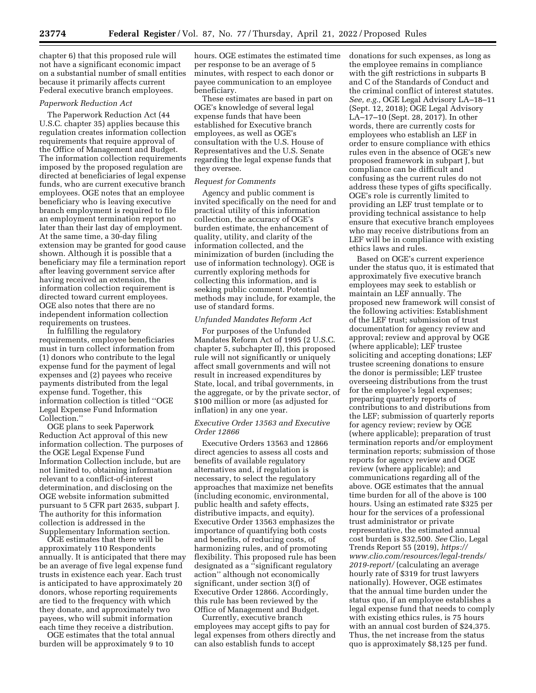chapter 6) that this proposed rule will not have a significant economic impact on a substantial number of small entities because it primarily affects current Federal executive branch employees.

#### *Paperwork Reduction Act*

The Paperwork Reduction Act (44 U.S.C. chapter 35) applies because this regulation creates information collection requirements that require approval of the Office of Management and Budget. The information collection requirements imposed by the proposed regulation are directed at beneficiaries of legal expense funds, who are current executive branch employees. OGE notes that an employee beneficiary who is leaving executive branch employment is required to file an employment termination report no later than their last day of employment. At the same time, a 30-day filing extension may be granted for good cause shown. Although it is possible that a beneficiary may file a termination report after leaving government service after having received an extension, the information collection requirement is directed toward current employees. OGE also notes that there are no independent information collection requirements on trustees.

In fulfilling the regulatory requirements, employee beneficiaries must in turn collect information from (1) donors who contribute to the legal expense fund for the payment of legal expenses and (2) payees who receive payments distributed from the legal expense fund. Together, this information collection is titled ''OGE Legal Expense Fund Information Collection.''

OGE plans to seek Paperwork Reduction Act approval of this new information collection. The purposes of the OGE Legal Expense Fund Information Collection include, but are not limited to, obtaining information relevant to a conflict-of-interest determination, and disclosing on the OGE website information submitted pursuant to 5 CFR part 2635, subpart J. The authority for this information collection is addressed in the Supplementary Information section.

OGE estimates that there will be approximately 110 Respondents annually. It is anticipated that there may be an average of five legal expense fund trusts in existence each year. Each trust is anticipated to have approximately 20 donors, whose reporting requirements are tied to the frequency with which they donate, and approximately two payees, who will submit information each time they receive a distribution.

OGE estimates that the total annual burden will be approximately 9 to 10

hours. OGE estimates the estimated time per response to be an average of 5 minutes, with respect to each donor or payee communication to an employee beneficiary.

These estimates are based in part on OGE's knowledge of several legal expense funds that have been established for Executive branch employees, as well as OGE's consultation with the U.S. House of Representatives and the U.S. Senate regarding the legal expense funds that they oversee.

# *Request for Comments*

Agency and public comment is invited specifically on the need for and practical utility of this information collection, the accuracy of OGE's burden estimate, the enhancement of quality, utility, and clarity of the information collected, and the minimization of burden (including the use of information technology). OGE is currently exploring methods for collecting this information, and is seeking public comment. Potential methods may include, for example, the use of standard forms.

#### *Unfunded Mandates Reform Act*

For purposes of the Unfunded Mandates Reform Act of 1995 (2 U.S.C. chapter 5, subchapter II), this proposed rule will not significantly or uniquely affect small governments and will not result in increased expenditures by State, local, and tribal governments, in the aggregate, or by the private sector, of \$100 million or more (as adjusted for inflation) in any one year.

# *Executive Order 13563 and Executive Order 12866*

Executive Orders 13563 and 12866 direct agencies to assess all costs and benefits of available regulatory alternatives and, if regulation is necessary, to select the regulatory approaches that maximize net benefits (including economic, environmental, public health and safety effects, distributive impacts, and equity). Executive Order 13563 emphasizes the importance of quantifying both costs and benefits, of reducing costs, of harmonizing rules, and of promoting flexibility. This proposed rule has been designated as a ''significant regulatory action'' although not economically significant, under section 3(f) of Executive Order 12866. Accordingly, this rule has been reviewed by the Office of Management and Budget.

Currently, executive branch employees may accept gifts to pay for legal expenses from others directly and can also establish funds to accept

donations for such expenses, as long as the employee remains in compliance with the gift restrictions in subparts B and C of the Standards of Conduct and the criminal conflict of interest statutes. *See, e.g.,* OGE Legal Advisory LA–18–11 (Sept. 12, 2018); OGE Legal Advisory LA–17–10 (Sept. 28, 2017). In other words, there are currently costs for employees who establish an LEF in order to ensure compliance with ethics rules even in the absence of OGE's new proposed framework in subpart J, but compliance can be difficult and confusing as the current rules do not address these types of gifts specifically. OGE's role is currently limited to providing an LEF trust template or to providing technical assistance to help ensure that executive branch employees who may receive distributions from an LEF will be in compliance with existing ethics laws and rules.

Based on OGE's current experience under the status quo, it is estimated that approximately five executive branch employees may seek to establish or maintain an LEF annually. The proposed new framework will consist of the following activities: Establishment of the LEF trust; submission of trust documentation for agency review and approval; review and approval by OGE (where applicable); LEF trustee soliciting and accepting donations; LEF trustee screening donations to ensure the donor is permissible; LEF trustee overseeing distributions from the trust for the employee's legal expenses; preparing quarterly reports of contributions to and distributions from the LEF; submission of quarterly reports for agency review; review by OGE (where applicable); preparation of trust termination reports and/or employment termination reports; submission of those reports for agency review and OGE review (where applicable); and communications regarding all of the above. OGE estimates that the annual time burden for all of the above is 100 hours. Using an estimated rate \$325 per hour for the services of a professional trust administrator or private representative, the estimated annual cost burden is \$32,500. *See* Clio, Legal Trends Report 55 (2019), *[https://](https://www.clio.com/resources/legal-trends/2019-report/) [www.clio.com/resources/legal-trends/](https://www.clio.com/resources/legal-trends/2019-report/) [2019-report/](https://www.clio.com/resources/legal-trends/2019-report/)* (calculating an average hourly rate of \$319 for trust lawyers nationally). However, OGE estimates that the annual time burden under the status quo, if an employee establishes a legal expense fund that needs to comply with existing ethics rules, is 75 hours with an annual cost burden of \$24,375. Thus, the net increase from the status quo is approximately \$8,125 per fund.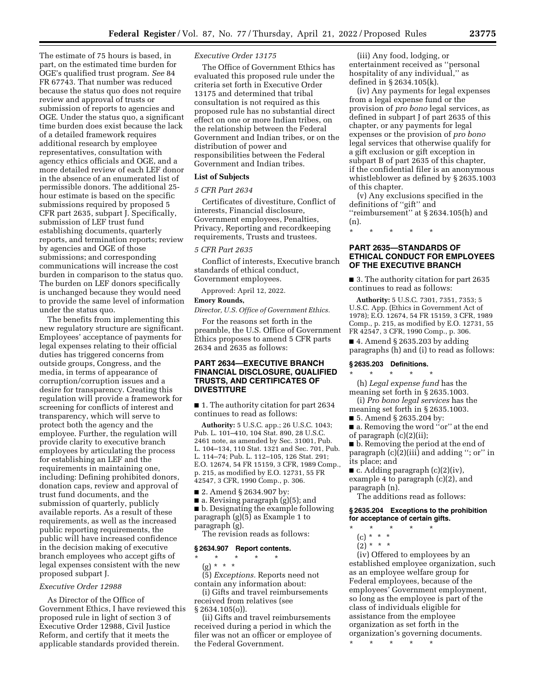The estimate of 75 hours is based, in part, on the estimated time burden for OGE's qualified trust program. *See* 84 FR 67743. That number was reduced because the status quo does not require review and approval of trusts or submission of reports to agencies and OGE. Under the status quo, a significant time burden does exist because the lack of a detailed framework requires additional research by employee representatives, consultation with agency ethics officials and OGE, and a more detailed review of each LEF donor in the absence of an enumerated list of permissible donors. The additional 25 hour estimate is based on the specific submissions required by proposed 5 CFR part 2635, subpart J. Specifically, submission of LEF trust fund establishing documents, quarterly reports, and termination reports; review by agencies and OGE of those submissions; and corresponding communications will increase the cost burden in comparison to the status quo. The burden on LEF donors specifically is unchanged because they would need to provide the same level of information under the status quo.

The benefits from implementing this new regulatory structure are significant. Employees' acceptance of payments for legal expenses relating to their official duties has triggered concerns from outside groups, Congress, and the media, in terms of appearance of corruption/corruption issues and a desire for transparency. Creating this regulation will provide a framework for screening for conflicts of interest and transparency, which will serve to protect both the agency and the employee. Further, the regulation will provide clarity to executive branch employees by articulating the process for establishing an LEF and the requirements in maintaining one, including: Defining prohibited donors, donation caps, review and approval of trust fund documents, and the submission of quarterly, publicly available reports. As a result of these requirements, as well as the increased public reporting requirements, the public will have increased confidence in the decision making of executive branch employees who accept gifts of legal expenses consistent with the new proposed subpart J.

# *Executive Order 12988*

As Director of the Office of Government Ethics, I have reviewed this proposed rule in light of section 3 of Executive Order 12988, Civil Justice Reform, and certify that it meets the applicable standards provided therein.

# *Executive Order 13175*

The Office of Government Ethics has evaluated this proposed rule under the criteria set forth in Executive Order 13175 and determined that tribal consultation is not required as this proposed rule has no substantial direct effect on one or more Indian tribes, on the relationship between the Federal Government and Indian tribes, or on the distribution of power and responsibilities between the Federal Government and Indian tribes.

#### **List of Subjects**

#### *5 CFR Part 2634*

Certificates of divestiture, Conflict of interests, Financial disclosure, Government employees, Penalties, Privacy, Reporting and recordkeeping requirements, Trusts and trustees.

#### *5 CFR Part 2635*

Conflict of interests, Executive branch standards of ethical conduct, Government employees.

Approved: April 12, 2022.

#### **Emory Rounds,**

*Director, U.S. Office of Government Ethics.* 

For the reasons set forth in the preamble, the U.S. Office of Government Ethics proposes to amend 5 CFR parts 2634 and 2635 as follows:

# **PART 2634—EXECUTIVE BRANCH FINANCIAL DISCLOSURE, QUALIFIED TRUSTS, AND CERTIFICATES OF DIVESTITURE**

■ 1. The authority citation for part 2634 continues to read as follows:

**Authority:** 5 U.S.C. app.; 26 U.S.C. 1043; Pub. L. 101–410, 104 Stat. 890, 28 U.S.C. 2461 note, as amended by Sec. 31001, Pub. L. 104–134, 110 Stat. 1321 and Sec. 701, Pub. L. 114–74; Pub. L. 112–105, 126 Stat. 291; E.O. 12674, 54 FR 15159, 3 CFR, 1989 Comp., p. 215, as modified by E.O. 12731, 55 FR 42547, 3 CFR, 1990 Comp., p. 306.

■ 2. Amend § 2634.907 by:

■ a. Revising paragraph (g)(5); and ■ b. Designating the example following paragraph (g)(5) as Example 1 to

paragraph (g). The revision reads as follows:

# **§ 2634.907 Report contents.**

\* \* \* \* \*

(g) \* \* \* (5) *Exceptions.* Reports need not contain any information about:

(i) Gifts and travel reimbursements received from relatives (see § 2634.105(o)).

(ii) Gifts and travel reimbursements received during a period in which the filer was not an officer or employee of the Federal Government.

(iii) Any food, lodging, or entertainment received as ''personal hospitality of any individual,'' as defined in § 2634.105(k).

(iv) Any payments for legal expenses from a legal expense fund or the provision of *pro bono* legal services, as defined in subpart J of part 2635 of this chapter, or any payments for legal expenses or the provision of *pro bono*  legal services that otherwise qualify for a gift exclusion or gift exception in subpart B of part 2635 of this chapter, if the confidential filer is an anonymous whistleblower as defined by § 2635.1003 of this chapter.

(v) Any exclusions specified in the definitions of ''gift'' and ''reimbursement'' at § 2634.105(h) and (n).

\* \* \* \* \*

# **PART 2635—STANDARDS OF ETHICAL CONDUCT FOR EMPLOYEES OF THE EXECUTIVE BRANCH**

■ 3. The authority citation for part 2635 continues to read as follows:

**Authority:** 5 U.S.C. 7301, 7351, 7353; 5 U.S.C. App. (Ethics in Government Act of 1978); E.O. 12674, 54 FR 15159, 3 CFR, 1989 Comp., p. 215, as modified by E.O. 12731, 55 FR 42547, 3 CFR, 1990 Comp., p. 306.

 $\blacksquare$  4. Amend § 2635.203 by adding paragraphs (h) and (i) to read as follows:

# **§ 2635.203 Definitions.**

\* \* \* \* \* (h) *Legal expense fund* has the meaning set forth in § 2635.1003.

(i) *Pro bono legal services* has the meaning set forth in § 2635.1003.

- 5. Amend § 2635.204 by:
- a. Removing the word "or" at the end
- of paragraph (c)(2)(ii);

■ b. Removing the period at the end of paragraph (c)(2)(iii) and adding ''; or'' in its place; and

 $\blacksquare$  c. Adding paragraph (c)(2)(iv), example 4 to paragraph (c)(2), and paragraph (n).

The additions read as follows:

**§ 2635.204 Exceptions to the prohibition for acceptance of certain gifts.** 

- \* \* \* \* \*
- (c) \* \* \*
- $(2) * * * *$

(iv) Offered to employees by an established employee organization, such as an employee welfare group for Federal employees, because of the employees' Government employment, so long as the employee is part of the class of individuals eligible for assistance from the employee organization as set forth in the organization's governing documents.

\* \* \* \* \*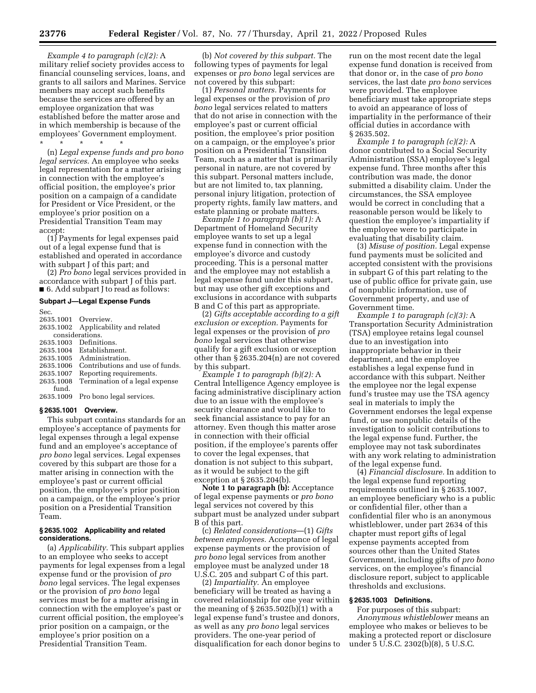*Example 4 to paragraph (c)(2):* A military relief society provides access to financial counseling services, loans, and grants to all sailors and Marines. Service members may accept such benefits because the services are offered by an employee organization that was established before the matter arose and in which membership is because of the employees' Government employment.

\* \* \* \* \* (n) *Legal expense funds and pro bono legal services.* An employee who seeks legal representation for a matter arising in connection with the employee's official position, the employee's prior position on a campaign of a candidate for President or Vice President, or the employee's prior position on a Presidential Transition Team may accept:

(1) Payments for legal expenses paid out of a legal expense fund that is established and operated in accordance with subpart J of this part; and

(2) *Pro bono* legal services provided in accordance with subpart J of this part. ■ 6. Add subpart J to read as follows:

# **Subpart J—Legal Expense Funds**

Sec.

| 2635.1001 Overview. |                                 |
|---------------------|---------------------------------|
| 2635.1002           | Applicability and related       |
| considerations.     |                                 |
| 2635.1003           | Definitions.                    |
| 2635.1004           | Establishment.                  |
| 2635.1005           | Administration.                 |
| 2635.1006           | Contributions and use of funds. |
| 2635.1007           | Reporting requirements.         |
| 2635.1008           | Termination of a legal expense  |
| fund.               |                                 |
| 2635.1009           | Pro bono legal services.        |

# **§ 2635.1001 Overview.**

This subpart contains standards for an employee's acceptance of payments for legal expenses through a legal expense fund and an employee's acceptance of *pro bono* legal services. Legal expenses covered by this subpart are those for a matter arising in connection with the employee's past or current official position, the employee's prior position on a campaign, or the employee's prior position on a Presidential Transition Team.

#### **§ 2635.1002 Applicability and related considerations.**

(a) *Applicability.* This subpart applies to an employee who seeks to accept payments for legal expenses from a legal expense fund or the provision of *pro bono* legal services. The legal expenses or the provision of *pro bono* legal services must be for a matter arising in connection with the employee's past or current official position, the employee's prior position on a campaign, or the employee's prior position on a Presidential Transition Team.

(b) *Not covered by this subpart.* The following types of payments for legal expenses or *pro bono* legal services are not covered by this subpart:

(1) *Personal matters.* Payments for legal expenses or the provision of *pro bono* legal services related to matters that do not arise in connection with the employee's past or current official position, the employee's prior position on a campaign, or the employee's prior position on a Presidential Transition Team, such as a matter that is primarily personal in nature, are not covered by this subpart. Personal matters include, but are not limited to, tax planning, personal injury litigation, protection of property rights, family law matters, and estate planning or probate matters.

*Example 1 to paragraph (b)(1):* A Department of Homeland Security employee wants to set up a legal expense fund in connection with the employee's divorce and custody proceeding. This is a personal matter and the employee may not establish a legal expense fund under this subpart, but may use other gift exceptions and exclusions in accordance with subparts B and C of this part as appropriate.

(2) *Gifts acceptable according to a gift exclusion or exception.* Payments for legal expenses or the provision of *pro bono* legal services that otherwise qualify for a gift exclusion or exception other than § 2635.204(n) are not covered by this subpart.

*Example 1 to paragraph (b)(2):* A Central Intelligence Agency employee is facing administrative disciplinary action due to an issue with the employee's security clearance and would like to seek financial assistance to pay for an attorney. Even though this matter arose in connection with their official position, if the employee's parents offer to cover the legal expenses, that donation is not subject to this subpart, as it would be subject to the gift exception at § 2635.204(b).

**Note 1 to paragraph (b):** Acceptance of legal expense payments or *pro bono*  legal services not covered by this subpart must be analyzed under subpart B of this part.

(c) *Related considerations*—(1) *Gifts between employees.* Acceptance of legal expense payments or the provision of *pro bono* legal services from another employee must be analyzed under 18 U.S.C. 205 and subpart C of this part.

(2) *Impartiality.* An employee beneficiary will be treated as having a covered relationship for one year within the meaning of § 2635.502(b)(1) with a legal expense fund's trustee and donors, as well as any *pro bono* legal services providers. The one-year period of disqualification for each donor begins to run on the most recent date the legal expense fund donation is received from that donor or, in the case of *pro bono*  services, the last date *pro bono* services were provided. The employee beneficiary must take appropriate steps to avoid an appearance of loss of impartiality in the performance of their official duties in accordance with § 2635.502.

*Example 1 to paragraph (c)(2):* A donor contributed to a Social Security Administration (SSA) employee's legal expense fund. Three months after this contribution was made, the donor submitted a disability claim. Under the circumstances, the SSA employee would be correct in concluding that a reasonable person would be likely to question the employee's impartiality if the employee were to participate in evaluating that disability claim.

(3) *Misuse of position.* Legal expense fund payments must be solicited and accepted consistent with the provisions in subpart G of this part relating to the use of public office for private gain, use of nonpublic information, use of Government property, and use of Government time.

*Example 1 to paragraph (c)(3):* A Transportation Security Administration (TSA) employee retains legal counsel due to an investigation into inappropriate behavior in their department, and the employee establishes a legal expense fund in accordance with this subpart. Neither the employee nor the legal expense fund's trustee may use the TSA agency seal in materials to imply the Government endorses the legal expense fund, or use nonpublic details of the investigation to solicit contributions to the legal expense fund. Further, the employee may not task subordinates with any work relating to administration of the legal expense fund.

(4) *Financial disclosure.* In addition to the legal expense fund reporting requirements outlined in § 2635.1007, an employee beneficiary who is a public or confidential filer, other than a confidential filer who is an anonymous whistleblower, under part 2634 of this chapter must report gifts of legal expense payments accepted from sources other than the United States Government, including gifts of *pro bono*  services, on the employee's financial disclosure report, subject to applicable thresholds and exclusions.

# **§ 2635.1003 Definitions.**

For purposes of this subpart: *Anonymous whistleblower* means an employee who makes or believes to be making a protected report or disclosure under 5 U.S.C. 2302(b)(8), 5 U.S.C.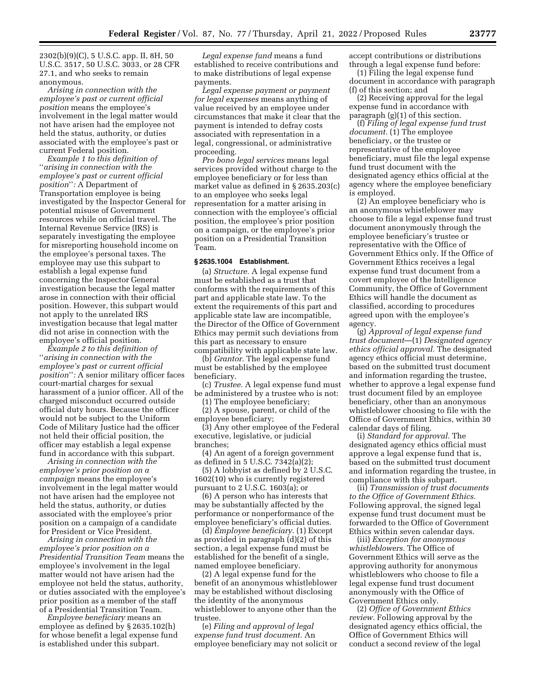2302(b)(9)(C), 5 U.S.C. app. II, 8H, 50 U.S.C. 3517, 50 U.S.C. 3033, or 28 CFR 27.1, and who seeks to remain anonymous.

*Arising in connection with the employee's past or current official position* means the employee's involvement in the legal matter would not have arisen had the employee not held the status, authority, or duties associated with the employee's past or current Federal position.

*Example 1 to this definition of*  ''*arising in connection with the employee's past or current official position*''*:* A Department of Transportation employee is being investigated by the Inspector General for potential misuse of Government resources while on official travel. The Internal Revenue Service (IRS) is separately investigating the employee for misreporting household income on the employee's personal taxes. The employee may use this subpart to establish a legal expense fund concerning the Inspector General investigation because the legal matter arose in connection with their official position. However, this subpart would not apply to the unrelated IRS investigation because that legal matter did not arise in connection with the employee's official position.

*Example 2 to this definition of*  ''*arising in connection with the employee's past or current official position*''*:* A senior military officer faces court-martial charges for sexual harassment of a junior officer. All of the charged misconduct occurred outside official duty hours. Because the officer would not be subject to the Uniform Code of Military Justice had the officer not held their official position, the officer may establish a legal expense fund in accordance with this subpart.

*Arising in connection with the employee's prior position on a campaign* means the employee's involvement in the legal matter would not have arisen had the employee not held the status, authority, or duties associated with the employee's prior position on a campaign of a candidate for President or Vice President.

*Arising in connection with the employee's prior position on a Presidential Transition Team* means the employee's involvement in the legal matter would not have arisen had the employee not held the status, authority, or duties associated with the employee's prior position as a member of the staff of a Presidential Transition Team.

*Employee beneficiary* means an employee as defined by § 2635.102(h) for whose benefit a legal expense fund is established under this subpart.

*Legal expense fund* means a fund established to receive contributions and to make distributions of legal expense payments.

*Legal expense payment or payment for legal expenses* means anything of value received by an employee under circumstances that make it clear that the payment is intended to defray costs associated with representation in a legal, congressional, or administrative proceeding.

*Pro bono legal services* means legal services provided without charge to the employee beneficiary or for less than market value as defined in § 2635.203(c) to an employee who seeks legal representation for a matter arising in connection with the employee's official position, the employee's prior position on a campaign, or the employee's prior position on a Presidential Transition Team.

#### **§ 2635.1004 Establishment.**

(a) *Structure.* A legal expense fund must be established as a trust that conforms with the requirements of this part and applicable state law. To the extent the requirements of this part and applicable state law are incompatible, the Director of the Office of Government Ethics may permit such deviations from this part as necessary to ensure compatibility with applicable state law.

(b) *Grantor.* The legal expense fund must be established by the employee beneficiary.

(c) *Trustee.* A legal expense fund must be administered by a trustee who is not:

(1) The employee beneficiary; (2) A spouse, parent, or child of the employee beneficiary;

(3) Any other employee of the Federal executive, legislative, or judicial branches;

(4) An agent of a foreign government as defined in 5 U.S.C. 7342(a)(2);

(5) A lobbyist as defined by 2 U.S.C. 1602(10) who is currently registered pursuant to 2 U.S.C. 1603(a); or

(6) A person who has interests that may be substantially affected by the performance or nonperformance of the employee beneficiary's official duties.

(d) *Employee beneficiary.* (1) Except as provided in paragraph (d)(2) of this section, a legal expense fund must be established for the benefit of a single, named employee beneficiary.

(2) A legal expense fund for the benefit of an anonymous whistleblower may be established without disclosing the identity of the anonymous whistleblower to anyone other than the trustee.

(e) *Filing and approval of legal expense fund trust document.* An employee beneficiary may not solicit or accept contributions or distributions through a legal expense fund before:

(1) Filing the legal expense fund document in accordance with paragraph (f) of this section; and

(2) Receiving approval for the legal expense fund in accordance with paragraph (g)(1) of this section.

(f) *Filing of legal expense fund trust document.* (1) The employee beneficiary, or the trustee or representative of the employee beneficiary, must file the legal expense fund trust document with the designated agency ethics official at the agency where the employee beneficiary is employed.

(2) An employee beneficiary who is an anonymous whistleblower may choose to file a legal expense fund trust document anonymously through the employee beneficiary's trustee or representative with the Office of Government Ethics only. If the Office of Government Ethics receives a legal expense fund trust document from a covert employee of the Intelligence Community, the Office of Government Ethics will handle the document as classified, according to procedures agreed upon with the employee's agency.

(g) *Approval of legal expense fund trust document*—(1) *Designated agency ethics official approval.* The designated agency ethics official must determine, based on the submitted trust document and information regarding the trustee, whether to approve a legal expense fund trust document filed by an employee beneficiary, other than an anonymous whistleblower choosing to file with the Office of Government Ethics, within 30 calendar days of filing.

(i) *Standard for approval.* The designated agency ethics official must approve a legal expense fund that is, based on the submitted trust document and information regarding the trustee, in compliance with this subpart.

(ii) *Transmission of trust documents to the Office of Government Ethics.*  Following approval, the signed legal expense fund trust document must be forwarded to the Office of Government Ethics within seven calendar days.

(iii) *Exception for anonymous whistleblowers.* The Office of Government Ethics will serve as the approving authority for anonymous whistleblowers who choose to file a legal expense fund trust document anonymously with the Office of Government Ethics only.

(2) *Office of Government Ethics review.* Following approval by the designated agency ethics official, the Office of Government Ethics will conduct a second review of the legal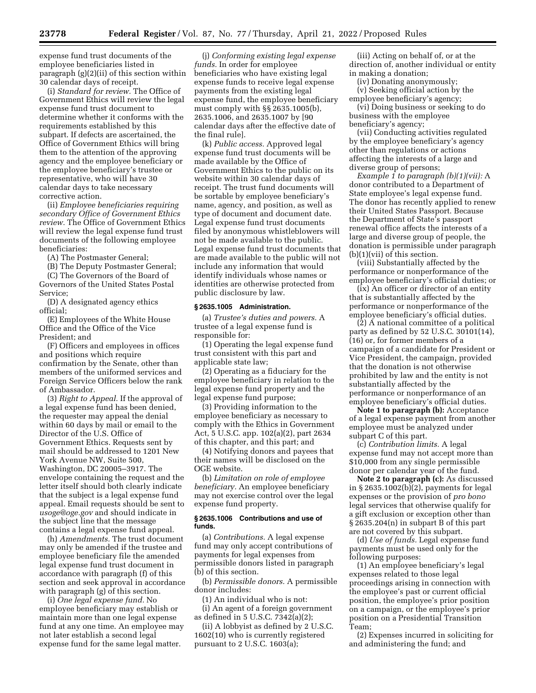expense fund trust documents of the employee beneficiaries listed in paragraph (g)(2)(ii) of this section within 30 calendar days of receipt.

(i) *Standard for review.* The Office of Government Ethics will review the legal expense fund trust document to determine whether it conforms with the requirements established by this subpart. If defects are ascertained, the Office of Government Ethics will bring them to the attention of the approving agency and the employee beneficiary or the employee beneficiary's trustee or representative, who will have 30 calendar days to take necessary corrective action.

(ii) *Employee beneficiaries requiring secondary Office of Government Ethics review.* The Office of Government Ethics will review the legal expense fund trust documents of the following employee beneficiaries:

(A) The Postmaster General;

(B) The Deputy Postmaster General; (C) The Governors of the Board of Governors of the United States Postal Service;

(D) A designated agency ethics official;

(E) Employees of the White House Office and the Office of the Vice President; and

(F) Officers and employees in offices and positions which require confirmation by the Senate, other than members of the uniformed services and Foreign Service Officers below the rank of Ambassador.

(3) *Right to Appeal.* If the approval of a legal expense fund has been denied, the requester may appeal the denial within 60 days by mail or email to the Director of the U.S. Office of Government Ethics. Requests sent by mail should be addressed to 1201 New York Avenue NW, Suite 500, Washington, DC 20005–3917. The envelope containing the request and the letter itself should both clearly indicate that the subject is a legal expense fund appeal. Email requests should be sent to *[usoge@oge.gov](mailto:usoge@oge.gov)* and should indicate in the subject line that the message contains a legal expense fund appeal.

(h) *Amendments.* The trust document may only be amended if the trustee and employee beneficiary file the amended legal expense fund trust document in accordance with paragraph (f) of this section and seek approval in accordance with paragraph (g) of this section.

(i) *One legal expense fund.* No employee beneficiary may establish or maintain more than one legal expense fund at any one time. An employee may not later establish a second legal expense fund for the same legal matter.

(j) *Conforming existing legal expense funds.* In order for employee beneficiaries who have existing legal expense funds to receive legal expense payments from the existing legal expense fund, the employee beneficiary must comply with §§ 2635.1005(b), 2635.1006, and 2635.1007 by [90 calendar days after the effective date of the final rule].

(k) *Public access.* Approved legal expense fund trust documents will be made available by the Office of Government Ethics to the public on its website within 30 calendar days of receipt. The trust fund documents will be sortable by employee beneficiary's name, agency, and position, as well as type of document and document date. Legal expense fund trust documents filed by anonymous whistleblowers will not be made available to the public. Legal expense fund trust documents that are made available to the public will not include any information that would identify individuals whose names or identities are otherwise protected from public disclosure by law.

#### **§ 2635.1005 Administration.**

(a) *Trustee's duties and powers.* A trustee of a legal expense fund is responsible for:

(1) Operating the legal expense fund trust consistent with this part and applicable state law;

(2) Operating as a fiduciary for the employee beneficiary in relation to the legal expense fund property and the legal expense fund purpose;

(3) Providing information to the employee beneficiary as necessary to comply with the Ethics in Government Act, 5 U.S.C. app. 102(a)(2), part 2634 of this chapter, and this part; and

(4) Notifying donors and payees that their names will be disclosed on the OGE website.

(b) *Limitation on role of employee beneficiary.* An employee beneficiary may not exercise control over the legal expense fund property.

#### **§ 2635.1006 Contributions and use of funds.**

(a) *Contributions.* A legal expense fund may only accept contributions of payments for legal expenses from permissible donors listed in paragraph (b) of this section.

(b) *Permissible donors.* A permissible donor includes:

(1) An individual who is not:

(i) An agent of a foreign government as defined in 5 U.S.C. 7342(a)(2);

(ii) A lobbyist as defined by 2 U.S.C. 1602(10) who is currently registered pursuant to 2 U.S.C. 1603(a);

(iii) Acting on behalf of, or at the direction of, another individual or entity in making a donation;

(iv) Donating anonymously;

(v) Seeking official action by the employee beneficiary's agency; (vi) Doing business or seeking to do

business with the employee beneficiary's agency;

(vii) Conducting activities regulated by the employee beneficiary's agency other than regulations or actions affecting the interests of a large and diverse group of persons;

*Example 1 to paragraph (b)(1)(vii):* A donor contributed to a Department of State employee's legal expense fund. The donor has recently applied to renew their United States Passport. Because the Department of State's passport renewal office affects the interests of a large and diverse group of people, the donation is permissible under paragraph  $(b)(1)(vii)$  of this section.

(viii) Substantially affected by the performance or nonperformance of the employee beneficiary's official duties; or

(ix) An officer or director of an entity that is substantially affected by the performance or nonperformance of the employee beneficiary's official duties.

(2) A national committee of a political party as defined by 52 U.S.C. 30101(14), (16) or, for former members of a campaign of a candidate for President or Vice President, the campaign, provided that the donation is not otherwise prohibited by law and the entity is not substantially affected by the performance or nonperformance of an employee beneficiary's official duties.

**Note 1 to paragraph (b):** Acceptance of a legal expense payment from another employee must be analyzed under subpart C of this part.

(c) *Contribution limits.* A legal expense fund may not accept more than \$10,000 from any single permissible donor per calendar year of the fund.

**Note 2 to paragraph (c):** As discussed in § 2635.1002(b)(2), payments for legal expenses or the provision of *pro bono*  legal services that otherwise qualify for a gift exclusion or exception other than § 2635.204(n) in subpart B of this part are not covered by this subpart.

(d) *Use of funds.* Legal expense fund payments must be used only for the following purposes:

(1) An employee beneficiary's legal expenses related to those legal proceedings arising in connection with the employee's past or current official position, the employee's prior position on a campaign, or the employee's prior position on a Presidential Transition Team;

(2) Expenses incurred in soliciting for and administering the fund; and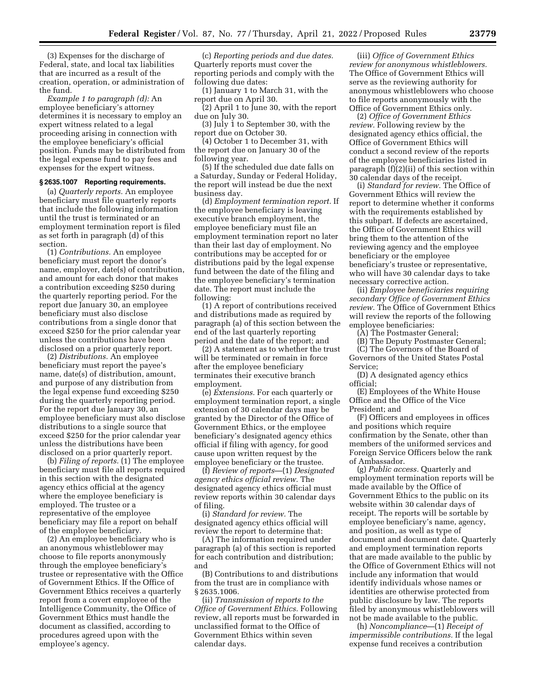(3) Expenses for the discharge of Federal, state, and local tax liabilities that are incurred as a result of the creation, operation, or administration of the fund.

*Example 1 to paragraph (d):* An employee beneficiary's attorney determines it is necessary to employ an expert witness related to a legal proceeding arising in connection with the employee beneficiary's official position. Funds may be distributed from the legal expense fund to pay fees and expenses for the expert witness.

# **§ 2635.1007 Reporting requirements.**

(a) *Quarterly reports.* An employee beneficiary must file quarterly reports that include the following information until the trust is terminated or an employment termination report is filed as set forth in paragraph (d) of this section.

(1) *Contributions.* An employee beneficiary must report the donor's name, employer, date(s) of contribution, and amount for each donor that makes a contribution exceeding \$250 during the quarterly reporting period. For the report due January 30, an employee beneficiary must also disclose contributions from a single donor that exceed \$250 for the prior calendar year unless the contributions have been disclosed on a prior quarterly report.

(2) *Distributions.* An employee beneficiary must report the payee's name, date(s) of distribution, amount, and purpose of any distribution from the legal expense fund exceeding \$250 during the quarterly reporting period. For the report due January 30, an employee beneficiary must also disclose distributions to a single source that exceed \$250 for the prior calendar year unless the distributions have been disclosed on a prior quarterly report.

(b) *Filing of reports.* (1) The employee beneficiary must file all reports required in this section with the designated agency ethics official at the agency where the employee beneficiary is employed. The trustee or a representative of the employee beneficiary may file a report on behalf of the employee beneficiary.

(2) An employee beneficiary who is an anonymous whistleblower may choose to file reports anonymously through the employee beneficiary's trustee or representative with the Office of Government Ethics. If the Office of Government Ethics receives a quarterly report from a covert employee of the Intelligence Community, the Office of Government Ethics must handle the document as classified, according to procedures agreed upon with the employee's agency.

(c) *Reporting periods and due dates.*  Quarterly reports must cover the reporting periods and comply with the following due dates:

(1) January 1 to March 31, with the report due on April 30.

(2) April 1 to June 30, with the report due on July 30.

(3) July 1 to September 30, with the report due on October 30.

(4) October 1 to December 31, with the report due on January 30 of the following year.

(5) If the scheduled due date falls on a Saturday, Sunday or Federal Holiday, the report will instead be due the next business day.

(d) *Employment termination report.* If the employee beneficiary is leaving executive branch employment, the employee beneficiary must file an employment termination report no later than their last day of employment. No contributions may be accepted for or distributions paid by the legal expense fund between the date of the filing and the employee beneficiary's termination date. The report must include the following:

(1) A report of contributions received and distributions made as required by paragraph (a) of this section between the end of the last quarterly reporting period and the date of the report; and

(2) A statement as to whether the trust will be terminated or remain in force after the employee beneficiary terminates their executive branch employment.

(e) *Extensions.* For each quarterly or employment termination report, a single extension of 30 calendar days may be granted by the Director of the Office of Government Ethics, or the employee beneficiary's designated agency ethics official if filing with agency, for good cause upon written request by the employee beneficiary or the trustee.

(f) *Review of reports*—(1) *Designated agency ethics official review.* The designated agency ethics official must review reports within 30 calendar days of filing.

(i) *Standard for review.* The designated agency ethics official will review the report to determine that:

(A) The information required under paragraph (a) of this section is reported for each contribution and distribution; and

(B) Contributions to and distributions from the trust are in compliance with § 2635.1006.

(ii) *Transmission of reports to the Office of Government Ethics.* Following review, all reports must be forwarded in unclassified format to the Office of Government Ethics within seven calendar days.

(iii) *Office of Government Ethics review for anonymous whistleblowers.*  The Office of Government Ethics will serve as the reviewing authority for anonymous whistleblowers who choose to file reports anonymously with the Office of Government Ethics only.

(2) *Office of Government Ethics review.* Following review by the designated agency ethics official, the Office of Government Ethics will conduct a second review of the reports of the employee beneficiaries listed in paragraph (f)(2)(ii) of this section within 30 calendar days of the receipt.

(i) *Standard for review.* The Office of Government Ethics will review the report to determine whether it conforms with the requirements established by this subpart. If defects are ascertained, the Office of Government Ethics will bring them to the attention of the reviewing agency and the employee beneficiary or the employee beneficiary's trustee or representative, who will have 30 calendar days to take necessary corrective action.

(ii) *Employee beneficiaries requiring secondary Office of Government Ethics review.* The Office of Government Ethics will review the reports of the following employee beneficiaries:

(A) The Postmaster General;

(B) The Deputy Postmaster General; (C) The Governors of the Board of

Governors of the United States Postal Service;

(D) A designated agency ethics official;

(E) Employees of the White House Office and the Office of the Vice President; and

(F) Officers and employees in offices and positions which require confirmation by the Senate, other than members of the uniformed services and Foreign Service Officers below the rank of Ambassador.

(g) *Public access.* Quarterly and employment termination reports will be made available by the Office of Government Ethics to the public on its website within 30 calendar days of receipt. The reports will be sortable by employee beneficiary's name, agency, and position, as well as type of document and document date. Quarterly and employment termination reports that are made available to the public by the Office of Government Ethics will not include any information that would identify individuals whose names or identities are otherwise protected from public disclosure by law. The reports filed by anonymous whistleblowers will not be made available to the public.

(h) *Noncompliance*—(1) *Receipt of impermissible contributions.* If the legal expense fund receives a contribution